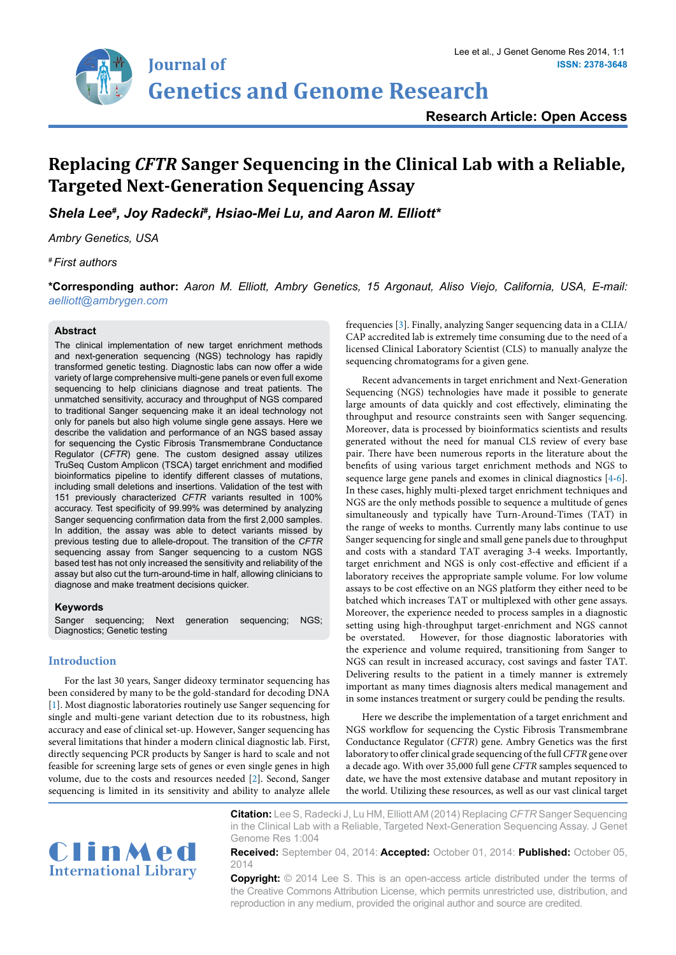

# **Research Article: Open Access**

# **Replacing** *CFTR* **Sanger Sequencing in the Clinical Lab with a Reliable, Targeted Next-Generation Sequencing Assay**

*Shela Lee# , Joy Radecki# , Hsiao-Mei Lu, and Aaron M. Elliott\**

*Ambry Genetics, USA*

*# First authors* 

**\*Corresponding author:** *Aaron M. Elliott, Ambry Genetics, 15 Argonaut, Aliso Viejo, California, USA, E-mail: aelliott@ambrygen.com*

#### **Abstract**

The clinical implementation of new target enrichment methods and next-generation sequencing (NGS) technology has rapidly transformed genetic testing. Diagnostic labs can now offer a wide variety of large comprehensive multi-gene panels or even full exome sequencing to help clinicians diagnose and treat patients. The unmatched sensitivity, accuracy and throughput of NGS compared to traditional Sanger sequencing make it an ideal technology not only for panels but also high volume single gene assays. Here we describe the validation and performance of an NGS based assay for sequencing the Cystic Fibrosis Transmembrane Conductance Regulator (*CFTR*) gene. The custom designed assay utilizes TruSeq Custom Amplicon (TSCA) target enrichment and modified bioinformatics pipeline to identify different classes of mutations, including small deletions and insertions. Validation of the test with 151 previously characterized *CFTR* variants resulted in 100% accuracy. Test specificity of 99.99% was determined by analyzing Sanger sequencing confirmation data from the first 2,000 samples. In addition, the assay was able to detect variants missed by previous testing due to allele-dropout. The transition of the *CFTR* sequencing assay from Sanger sequencing to a custom NGS based test has not only increased the sensitivity and reliability of the assay but also cut the turn-around-time in half, allowing clinicians to diagnose and make treatment decisions quicker.

#### **Keywords**

Sanger sequencing; Next generation sequencing; NGS; Diagnostics; Genetic testing

#### **Introduction**

For the last 30 years, Sanger dideoxy terminator sequencing has been considered by many to be the gold-standard for decoding DNA [[1\]](#page-4-3). Most diagnostic laboratories routinely use Sanger sequencing for single and multi-gene variant detection due to its robustness, high accuracy and ease of clinical set-up. However, Sanger sequencing has several limitations that hinder a modern clinical diagnostic lab. First, directly sequencing PCR products by Sanger is hard to scale and not feasible for screening large sets of genes or even single genes in high volume, due to the costs and resources needed [\[2\]](#page-4-4). Second, Sanger sequencing is limited in its sensitivity and ability to analyze allele

frequencies [\[3](#page-4-0)]. Finally, analyzing Sanger sequencing data in a CLIA/ CAP accredited lab is extremely time consuming due to the need of a licensed Clinical Laboratory Scientist (CLS) to manually analyze the sequencing chromatograms for a given gene.

Recent advancements in target enrichment and Next-Generation Sequencing (NGS) technologies have made it possible to generate large amounts of data quickly and cost effectively, eliminating the throughput and resource constraints seen with Sanger sequencing. Moreover, data is processed by bioinformatics scientists and results generated without the need for manual CLS review of every base pair. There have been numerous reports in the literature about the benefits of using various target enrichment methods and NGS to sequence large gene panels and exomes in clinical diagnostics [[4](#page-4-1)[-6\]](#page-4-2). In these cases, highly multi-plexed target enrichment techniques and NGS are the only methods possible to sequence a multitude of genes simultaneously and typically have Turn-Around-Times (TAT) in the range of weeks to months. Currently many labs continue to use Sanger sequencing for single and small gene panels due to throughput and costs with a standard TAT averaging 3-4 weeks. Importantly, target enrichment and NGS is only cost-effective and efficient if a laboratory receives the appropriate sample volume. For low volume assays to be cost effective on an NGS platform they either need to be batched which increases TAT or multiplexed with other gene assays. Moreover, the experience needed to process samples in a diagnostic setting using high-throughput target-enrichment and NGS cannot be overstated. However, for those diagnostic laboratories with the experience and volume required, transitioning from Sanger to NGS can result in increased accuracy, cost savings and faster TAT. Delivering results to the patient in a timely manner is extremely important as many times diagnosis alters medical management and in some instances treatment or surgery could be pending the results.

Here we describe the implementation of a target enrichment and NGS workflow for sequencing the Cystic Fibrosis Transmembrane Conductance Regulator (*CFTR*) gene. Ambry Genetics was the first laboratory to offer clinical grade sequencing of the full *CFTR* gene over a decade ago. With over 35,000 full gene *CFTR* samples sequenced to date, we have the most extensive database and mutant repository in the world. Utilizing these resources, as well as our vast clinical target



**Citation:** Lee S, Radecki J, Lu HM, Elliott AM (2014) Replacing *CFTR* Sanger Sequencing in the Clinical Lab with a Reliable, Targeted Next-Generation Sequencing Assay. J Genet Genome Res 1:004

**Received:** September 04, 2014: **Accepted:** October 01, 2014: **Published:** October 05, 2014

**Copyright:** © 2014 Lee S. This is an open-access article distributed under the terms of the Creative Commons Attribution License, which permits unrestricted use, distribution, and reproduction in any medium, provided the original author and source are credited.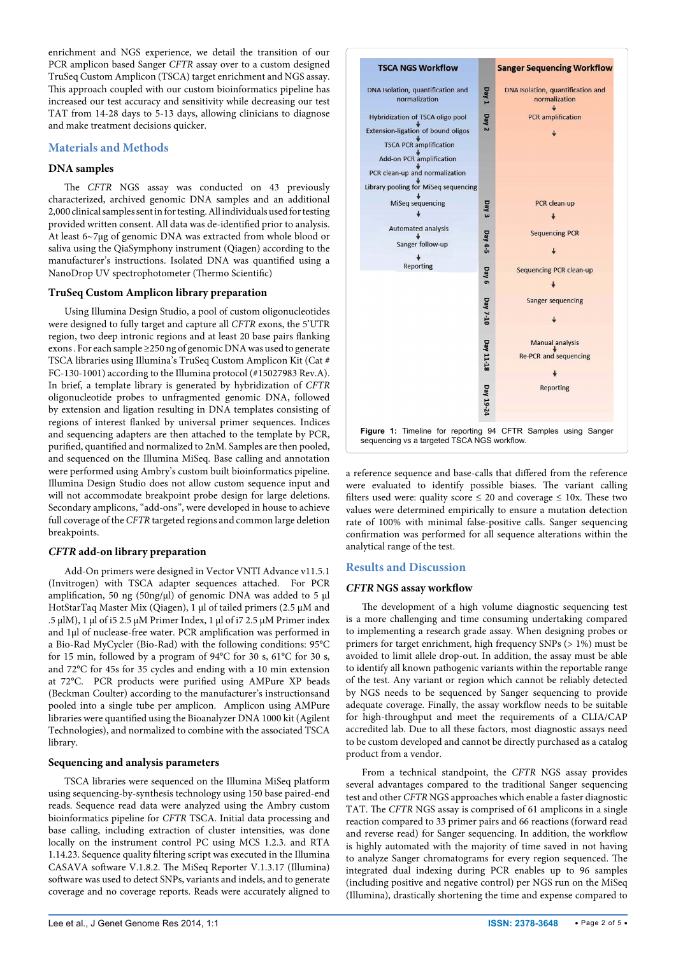enrichment and NGS experience, we detail the transition of our PCR amplicon based Sanger *CFTR* assay over to a custom designed TruSeq Custom Amplicon (TSCA) target enrichment and NGS assay. This approach coupled with our custom bioinformatics pipeline has increased our test accuracy and sensitivity while decreasing our test TAT from 14-28 days to 5-13 days, allowing clinicians to diagnose and make treatment decisions quicker.

# **Materials and Methods**

# **DNA samples**

The *CFTR* NGS assay was conducted on 43 previously characterized, archived genomic DNA samples and an additional 2,000 clinical samples sent in for testing. All individuals used for testing provided written consent. All data was de-identified prior to analysis. At least 6~7µg of genomic DNA was extracted from whole blood or saliva using the QiaSymphony instrument (Qiagen) according to the manufacturer's instructions. Isolated DNA was quantified using a NanoDrop UV spectrophotometer (Thermo Scientific)

#### **TruSeq Custom Amplicon library preparation**

Using Illumina Design Studio, a pool of custom oligonucleotides were designed to fully target and capture all *CFTR* exons, the 5'UTR region, two deep intronic regions and at least 20 base pairs flanking exons . For each sample ≥250 ng of genomic DNA was used to generate TSCA libraries using Illumina's TruSeq Custom Amplicon Kit (Cat # FC-130-1001) according to the Illumina protocol (#15027983 Rev.A). In brief, a template library is generated by hybridization of *CFTR* oligonucleotide probes to unfragmented genomic DNA, followed by extension and ligation resulting in DNA templates consisting of regions of interest flanked by universal primer sequences. Indices and sequencing adapters are then attached to the template by PCR, purified, quantified and normalized to 2nM. Samples are then pooled, and sequenced on the Illumina MiSeq. Base calling and annotation were performed using Ambry's custom built bioinformatics pipeline. Illumina Design Studio does not allow custom sequence input and will not accommodate breakpoint probe design for large deletions. Secondary amplicons, "add-ons", were developed in house to achieve full coverage of the *CFTR* targeted regions and common large deletion breakpoints.

# *CFTR* **add-on library preparation**

Add-On primers were designed in Vector VNTI Advance v11.5.1 (Invitrogen) with TSCA adapter sequences attached. For PCR amplification, 50 ng (50ng/ $\mu$ l) of genomic DNA was added to 5  $\mu$ l HotStarTaq Master Mix (Qiagen), 1 µl of tailed primers (2.5 µM and .5 µlM), 1 µl of i5 2.5 µM Primer Index, 1 µl of i7 2.5 µM Primer index and 1µl of nuclease-free water. PCR amplification was performed in a Bio-Rad MyCycler (Bio-Rad) with the following conditions: 95°C for 15 min, followed by a program of 94°C for 30 s, 61°C for 30 s, and 72°C for 45s for 35 cycles and ending with a 10 min extension at 72°C. PCR products were purified using AMPure XP beads (Beckman Coulter) according to the manufacturer's instructionsand pooled into a single tube per amplicon. Amplicon using AMPure libraries were quantified using the Bioanalyzer DNA 1000 kit (Agilent Technologies), and normalized to combine with the associated TSCA library.

# **Sequencing and analysis parameters**

TSCA libraries were sequenced on the Illumina MiSeq platform using sequencing-by-synthesis technology using 150 base paired-end reads. Sequence read data were analyzed using the Ambry custom bioinformatics pipeline for *CFTR* TSCA. Initial data processing and base calling, including extraction of cluster intensities, was done locally on the instrument control PC using MCS 1.2.3. and RTA 1.14.23. Sequence quality filtering script was executed in the Illumina CASAVA software V.1.8.2. The MiSeq Reporter V.1.3.17 (Illumina) software was used to detect SNPs, variants and indels, and to generate coverage and no coverage reports. Reads were accurately aligned to

<span id="page-1-0"></span>

a reference sequence and base-calls that differed from the reference were evaluated to identify possible biases. The variant calling filters used were: quality score  $\leq 20$  and coverage  $\leq 10x$ . These two values were determined empirically to ensure a mutation detection rate of 100% with minimal false-positive calls. Sanger sequencing confirmation was performed for all sequence alterations within the analytical range of the test.

# **Results and Discussion**

# *CFTR* **NGS assay workflow**

The development of a high volume diagnostic sequencing test is a more challenging and time consuming undertaking compared to implementing a research grade assay. When designing probes or primers for target enrichment, high frequency SNPs (> 1%) must be avoided to limit allele drop-out. In addition, the assay must be able to identify all known pathogenic variants within the reportable range of the test. Any variant or region which cannot be reliably detected by NGS needs to be sequenced by Sanger sequencing to provide adequate coverage. Finally, the assay workflow needs to be suitable for high-throughput and meet the requirements of a CLIA/CAP accredited lab. Due to all these factors, most diagnostic assays need to be custom developed and cannot be directly purchased as a catalog product from a vendor.

From a technical standpoint, the *CFTR* NGS assay provides several advantages compared to the traditional Sanger sequencing test and other *CFTR* NGS approaches which enable a faster diagnostic TAT. The *CFTR* NGS assay is comprised of 61 amplicons in a single reaction compared to 33 primer pairs and 66 reactions (forward read and reverse read) for Sanger sequencing. In addition, the workflow is highly automated with the majority of time saved in not having to analyze Sanger chromatograms for every region sequenced. The integrated dual indexing during PCR enables up to 96 samples (including positive and negative control) per NGS run on the MiSeq (Illumina), drastically shortening the time and expense compared to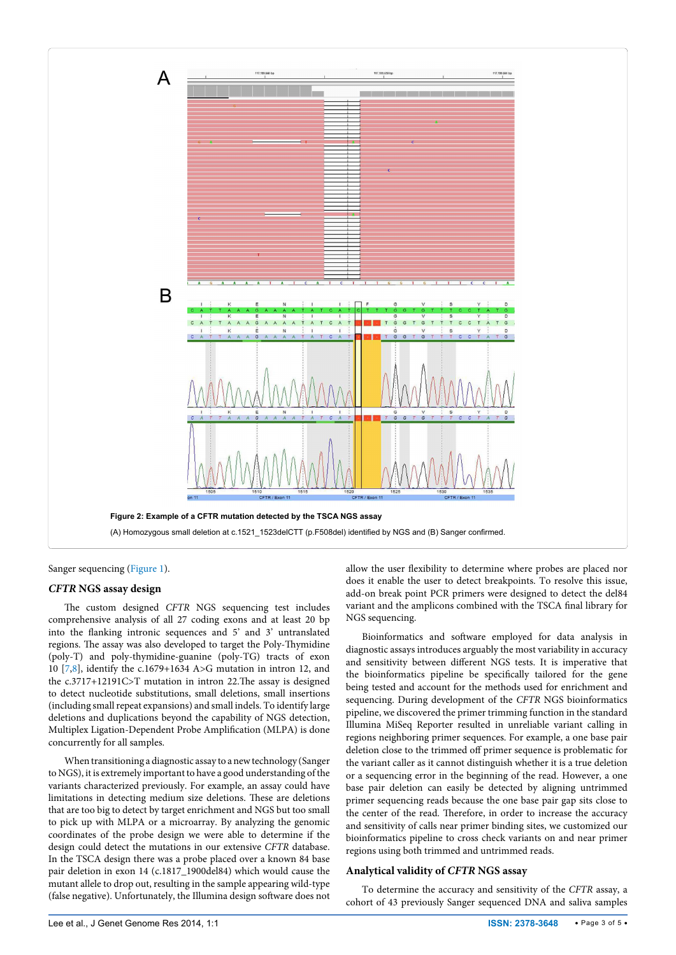<span id="page-2-0"></span>

Sanger sequencing ([Figure 1\)](#page-1-0).

#### *CFTR* **NGS assay design**

The custom designed *CFTR* NGS sequencing test includes comprehensive analysis of all 27 coding exons and at least 20 bp into the flanking intronic sequences and 5' and 3' untranslated regions. The assay was also developed to target the Poly-Thymidine (poly-T) and poly-thymidine-guanine (poly-TG) tracts of exon 10 [\[7,](#page-4-5)[8\]](#page-4-6), identify the c.1679+1634 A>G mutation in intron 12, and the c.3717+12191C>T mutation in intron 22.The assay is designed to detect nucleotide substitutions, small deletions, small insertions (including small repeat expansions) and small indels. To identify large deletions and duplications beyond the capability of NGS detection, Multiplex Ligation-Dependent Probe Amplification (MLPA) is done concurrently for all samples.

When transitioning a diagnostic assay to a new technology (Sanger to NGS), it is extremely important to have a good understanding of the variants characterized previously. For example, an assay could have limitations in detecting medium size deletions. These are deletions that are too big to detect by target enrichment and NGS but too small to pick up with MLPA or a microarray. By analyzing the genomic coordinates of the probe design we were able to determine if the design could detect the mutations in our extensive *CFTR* database. In the TSCA design there was a probe placed over a known 84 base pair deletion in exon 14 (c.1817\_1900del84) which would cause the mutant allele to drop out, resulting in the sample appearing wild-type (false negative). Unfortunately, the Illumina design software does not

allow the user flexibility to determine where probes are placed nor does it enable the user to detect breakpoints. To resolve this issue, add-on break point PCR primers were designed to detect the del84 variant and the amplicons combined with the TSCA final library for NGS sequencing.

Bioinformatics and software employed for data analysis in diagnostic assays introduces arguably the most variability in accuracy and sensitivity between different NGS tests. It is imperative that the bioinformatics pipeline be specifically tailored for the gene being tested and account for the methods used for enrichment and sequencing. During development of the *CFTR* NGS bioinformatics pipeline, we discovered the primer trimming function in the standard Illumina MiSeq Reporter resulted in unreliable variant calling in regions neighboring primer sequences. For example, a one base pair deletion close to the trimmed off primer sequence is problematic for the variant caller as it cannot distinguish whether it is a true deletion or a sequencing error in the beginning of the read. However, a one base pair deletion can easily be detected by aligning untrimmed primer sequencing reads because the one base pair gap sits close to the center of the read. Therefore, in order to increase the accuracy and sensitivity of calls near primer binding sites, we customized our bioinformatics pipeline to cross check variants on and near primer regions using both trimmed and untrimmed reads.

#### **Analytical validity of** *CFTR* **NGS assay**

To determine the accuracy and sensitivity of the *CFTR* assay, a cohort of 43 previously Sanger sequenced DNA and saliva samples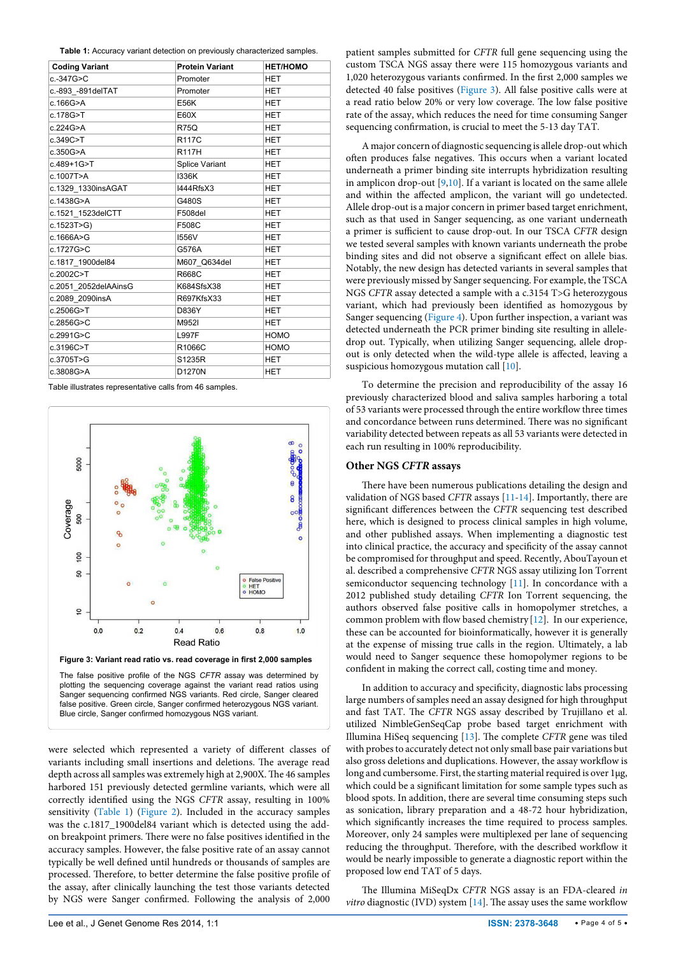<span id="page-3-0"></span>**Table 1:** Accuracy variant detection on previously characterized samples.

| <b>Coding Variant</b> | <b>Protein Variant</b> | <b>HET/HOMO</b> |
|-----------------------|------------------------|-----------------|
| c.-347G>C             | Promoter               | <b>HET</b>      |
| c.-893_-891delTAT     | Promoter               | HET             |
| c.166G>A              | <b>E56K</b>            | <b>HET</b>      |
| c.178G>T              | E60X                   | HET             |
| c.224G>A              | <b>R75Q</b>            | <b>HET</b>      |
| c.349C>T              | <b>R117C</b>           | <b>HET</b>      |
| c.350G>A              | <b>R117H</b>           | <b>HET</b>      |
| c.489+1G>T            | <b>Splice Variant</b>  | <b>HET</b>      |
| c.1007T>A             | 1336K                  | <b>HET</b>      |
| c.1329 1330insAGAT    | I444RfsX3              | <b>HET</b>      |
| c.1438G>A             | G480S                  | HET             |
| c.1521 1523delCTT     | F508del                | <b>HET</b>      |
| c.1523T>G)            | F508C                  | <b>HET</b>      |
| c.1666A>G             | 1556V                  | <b>HET</b>      |
| c.1727G>C             | G576A                  | <b>HET</b>      |
| c.1817 1900del84      | M607 Q634del           | <b>HET</b>      |
| c.2002C>T             | <b>R668C</b>           | <b>HET</b>      |
| c.2051 2052delAAinsG  | K684SfsX38             | <b>HET</b>      |
| c.2089 2090insA       | R697KfsX33             | <b>HET</b>      |
| c.2506G>T             | D836Y                  | HET             |
| c.2856G>C             | M952I                  | <b>HET</b>      |
| c.2991G>C             | L997F                  | <b>HOMO</b>     |
| c.3196C>T             | R1066C                 | <b>HOMO</b>     |
| c.3705T>G             | S1235R                 | <b>HET</b>      |
| c.3808G>A             | D1270N                 | HET             |

Table illustrates representative calls from 46 samples.

<span id="page-3-1"></span>

were selected which represented a variety of different classes of variants including small insertions and deletions. The average read depth across all samples was extremely high at 2,900X. The 46 samples harbored 151 previously detected germline variants, which were all correctly identified using the NGS *CFTR* assay, resulting in 100% sensitivity ([Table 1](#page-3-0)) ([Figure 2](#page-2-0)). Included in the accuracy samples was the c.1817\_1900del84 variant which is detected using the addon breakpoint primers. There were no false positives identified in the accuracy samples. However, the false positive rate of an assay cannot typically be well defined until hundreds or thousands of samples are processed. Therefore, to better determine the false positive profile of the assay, after clinically launching the test those variants detected by NGS were Sanger confirmed. Following the analysis of 2,000

patient samples submitted for *CFTR* full gene sequencing using the custom TSCA NGS assay there were 115 homozygous variants and 1,020 heterozygous variants confirmed. In the first 2,000 samples we detected 40 false positives ([Figure 3](#page-3-1)). All false positive calls were at a read ratio below 20% or very low coverage. The low false positive rate of the assay, which reduces the need for time consuming Sanger sequencing confirmation, is crucial to meet the 5-13 day TAT.

A major concern of diagnostic sequencing is allele drop-out which often produces false negatives. This occurs when a variant located underneath a primer binding site interrupts hybridization resulting in amplicon drop-out [\[9,](#page-4-7)[10](#page-4-8)]. If a variant is located on the same allele and within the affected amplicon, the variant will go undetected. Allele drop-out is a major concern in primer based target enrichment, such as that used in Sanger sequencing, as one variant underneath a primer is sufficient to cause drop-out. In our TSCA *CFTR* design we tested several samples with known variants underneath the probe binding sites and did not observe a significant effect on allele bias. Notably, the new design has detected variants in several samples that were previously missed by Sanger sequencing. For example, the TSCA NGS *CFTR* assay detected a sample with a c.3154 T>G heterozygous variant, which had previously been identified as homozygous by Sanger sequencing ([Figure 4\)](#page-4-9). Upon further inspection, a variant was detected underneath the PCR primer binding site resulting in alleledrop out. Typically, when utilizing Sanger sequencing, allele dropout is only detected when the wild-type allele is affected, leaving a suspicious homozygous mutation call [\[10](#page-4-8)].

To determine the precision and reproducibility of the assay 16 previously characterized blood and saliva samples harboring a total of 53 variants were processed through the entire workflow three times and concordance between runs determined. There was no significant variability detected between repeats as all 53 variants were detected in each run resulting in 100% reproducibility.

#### **Other NGS** *CFTR* **assays**

There have been numerous publications detailing the design and validation of NGS based *CFTR* assays [\[11-](#page-4-10)[14\]](#page-4-11). Importantly, there are significant differences between the *CFTR* sequencing test described here, which is designed to process clinical samples in high volume, and other published assays. When implementing a diagnostic test into clinical practice, the accuracy and specificity of the assay cannot be compromised for throughput and speed. Recently, AbouTayoun et al. described a comprehensive *CFTR* NGS assay utilizing Ion Torrent semiconductor sequencing technology [\[11\]](#page-4-10). In concordance with a 2012 published study detailing *CFTR* Ion Torrent sequencing, the authors observed false positive calls in homopolymer stretches, a common problem with flow based chemistry [[12](#page-4-12)]. In our experience, these can be accounted for bioinformatically, however it is generally at the expense of missing true calls in the region. Ultimately, a lab would need to Sanger sequence these homopolymer regions to be confident in making the correct call, costing time and money.

In addition to accuracy and specificity, diagnostic labs processing large numbers of samples need an assay designed for high throughput and fast TAT. The *CFTR* NGS assay described by Trujillano et al. utilized NimbleGenSeqCap probe based target enrichment with Illumina HiSeq sequencing [\[13\]](#page-4-13). The complete *CFTR* gene was tiled with probes to accurately detect not only small base pair variations but also gross deletions and duplications. However, the assay workflow is long and cumbersome. First, the starting material required is over 1µg, which could be a significant limitation for some sample types such as blood spots. In addition, there are several time consuming steps such as sonication, library preparation and a 48-72 hour hybridization, which significantly increases the time required to process samples. Moreover, only 24 samples were multiplexed per lane of sequencing reducing the throughput. Therefore, with the described workflow it would be nearly impossible to generate a diagnostic report within the proposed low end TAT of 5 days.

The Illumina MiSeqDx *CFTR* NGS assay is an FDA-cleared *in vitro* diagnostic (IVD) system [\[14\]](#page-4-11). The assay uses the same workflow